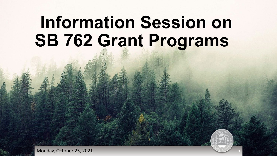# **Information Session on SB 762 Grant Programs**

<sup>1</sup> Monday, October 25, 2021 **<sup>1</sup>**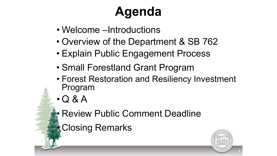## **Agenda**

- Welcome –Introductions
- Overview of the Department & SB 762
- Explain Public Engagement Process
- Small Forestland Grant Program
- Forest Restoration and Resiliency Investment Program
- Q & A
	- **Review Public Comment Deadline**

• Closing Remarks

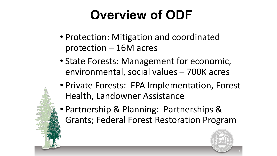## **Overview of ODF**

- Protection: Mitigation and coordinated protection – 16M acres
- State Forests: Management for economic, environmental, social values – 700K acres
- Private Forests: FPA Implementation, Forest Health, Landowner Assistance
- Partnership & Planning: Partnerships & Grants; Federal Forest Restoration Program

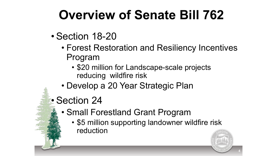## **Overview of Senate Bill 762**

- Section 18-20
	- Forest Restoration and Resiliency Incentives Program
		- \$20 million for Landscape-scale projects reducing wildfire risk
	- Develop a 20 Year Strategic Plan
- Section 24
	- Small Forestland Grant Program
		- \$5 million supporting landowner wildfire risk reduction

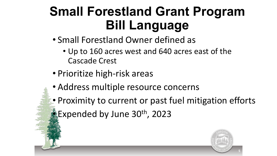#### **Small Forestland Grant Program Bill Language**

- Small Forestland Owner defined as
	- Up to 160 acres west and 640 acres east of the Cascade Crest
- Prioritize high-risk areas
- Address multiple resource concerns
- Proximity to current or past fuel mitigation efforts • Expended by June 30th, 2023

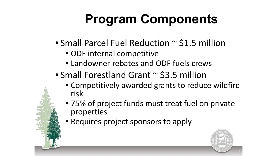## **Program Components**

- Small Parcel Fuel Reduction ~ \$1.5 million
	- ODF internal competitive
	- Landowner rebates and ODF fuels crews
- Small Forestland Grant ~ \$3.5 million
	- Competitively awarded grants to reduce wildfire risk
	- 75% of project funds must treat fuel on private properties
	- Requires project sponsors to apply

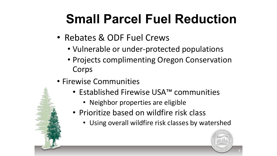## **Small Parcel Fuel Reduction**

- Rebates & ODF Fuel Crews
	- Vulnerable or under-protected populations
	- Projects complimenting Oregon Conservation Corps
- Firewise Communities
	- Established Firewise USA™ communities
		- Neighbor properties are eligible
	- Prioritize based on wildfire risk class
		- Using overall wildfire risk classes by watershed

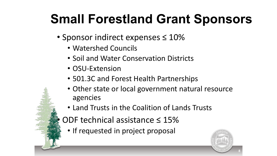### **Small Forestland Grant Sponsors**

- Sponsor indirect expenses ≤ 10%
	- Watershed Councils
	- Soil and Water Conservation Districts
	- OSU-Extension
	- 501.3C and Forest Health Partnerships
	- Other state or local government natural resource agencies
	- Land Trusts in the Coalition of Lands Trusts
	- ODF technical assistance  $\leq 15\%$ 
		- If requested in project proposal

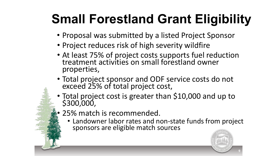## **Small Forestland Grant Eligibility**

- Proposal was submitted by a listed Project Sponsor
- Project reduces risk of high severity wildfire
- At least 75% of project costs supports fuel reduction treatment activities on small forestland owner properties,
- Total project sponsor and ODF service costs do not exceed 25% of total project cost,
- Total project cost is greater than \$10,000 and up to \$300,000,
- 25% match is recommended.
	- Landowner labor rates and non-state funds from project sponsors are eligible match sources

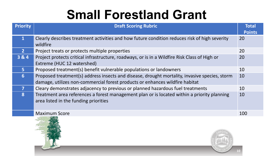### **Small Forestland Grant**

| <b>Priority</b> | <b>Draft Scoring Rubric</b>                                                                                                                                                   | <b>Total</b><br><b>Points</b> |
|-----------------|-------------------------------------------------------------------------------------------------------------------------------------------------------------------------------|-------------------------------|
| $\mathbf{1}$    | Clearly describes treatment activities and how future condition reduces risk of high severity<br>wildfire                                                                     | 20                            |
| 2 <sup>1</sup>  | Project treats or protects multiple properties                                                                                                                                | 20                            |
| 3 & 4           | Project protects critical infrastructure, roadways, or is in a Wildfire Risk Class of High or<br>Extreme (HUC 12 watershed)                                                   | 20                            |
| 5 <sup>1</sup>  | Proposed treatment(s) benefit vulnerable populations or landowners                                                                                                            | 10                            |
| 6               | Proposed treatment(s) address insects and disease, drought mortality, invasive species, storm<br>damage, utilizes non-commercial forest products or enhances wildfire habitat | 10                            |
|                 | Cleary demonstrates adjacency to previous or planned hazardous fuel treatments                                                                                                | 10                            |
| <b>8</b>        | Treatment area references a forest management plan or is located within a priority planning<br>area listed in the funding priorities                                          | 10                            |
|                 | <b>Maximum Score</b>                                                                                                                                                          | 100                           |



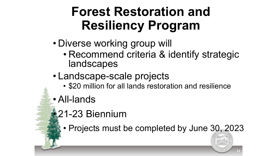- Diverse working group will
	- Recommend criteria & identify strategic landscapes
- Landscape-scale projects
	- \$20 million for all lands restoration and resilience
- All-lands

#### • 21-23 Biennium

• Projects must be completed by June 30, 2023

OF FOT 11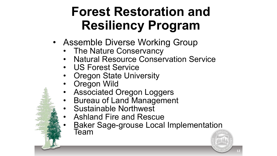- Assemble Diverse Working Group
	- The Nature Conservancy
	- Natural Resource Conservation Service
	- US Forest Service
	- Oregon State University
	- Oregon Wild
	- Associated Oregon Loggers
	- Bureau of Land Management
	- Sustainable Northwest
	- Ashland Fire and Rescue
	- Baker Sage-grouse Local Implementation<br>Team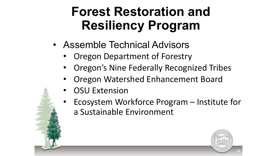- Assemble Technical Advisors
	- Oregon Department of Forestry
	- Oregon's Nine Federally Recognized Tribes
	- Oregon Watershed Enhancement Board
	- **OSU Extension**
	- Ecosystem Workforce Program Institute for a Sustainable Environment

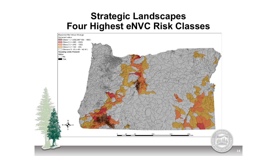#### **Strategic Landscapes Four Highest eNVC Risk Classes**

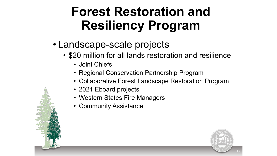- Landscape-scale projects
	- \$20 million for all lands restoration and resilience
		- Joint Chiefs
		- Regional Conservation Partnership Program
		- Collaborative Forest Landscape Restoration Program
		- 2021 Eboard projects
		- Western States Fire Managers
		- Community Assistance

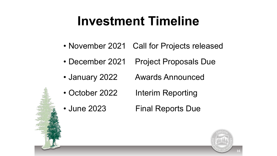#### **Investment Timeline**

- November 2021 Call for Projects released
- December 2021 Project Proposals Due
- January 2022 Awards Announced
- October 2022 Interim Reporting
- June 2023 Final Reports Due

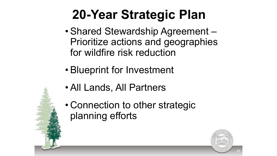## **20-Year Strategic Plan**

- Shared Stewardship Agreement Prioritize actions and geographies for wildfire risk reduction
- Blueprint for Investment
- All Lands, All Partners
- Connection to other strategic planning efforts